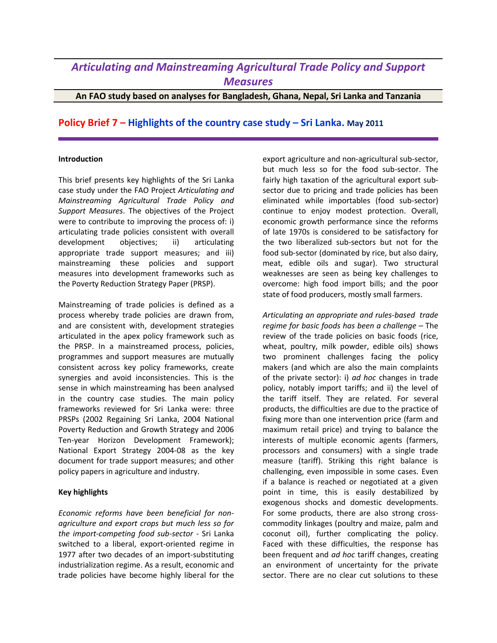## *Articulating and Mainstreaming Agricultural Trade Policy and Support Measures*

**An FAO study based on analyses for Bangladesh, Ghana, Nepal, Sri Lanka and Tanzania**

## **Policy Brief 7 – Highlights of the country case study – Sri Lanka. May 2011**

## **Introduction**

This brief presents key highlights of the Sri Lanka case study under the FAO Project *Articulating and Mainstreaming Agricultural Trade Policy and Support Measures*. The objectives of the Project were to contribute to improving the process of: i) articulating trade policies consistent with overall development objectives; ii) articulating appropriate trade support measures; and iii) mainstreaming these policies and support measures into development frameworks such as the Poverty Reduction Strategy Paper (PRSP).

Mainstreaming of trade policies is defined as a process whereby trade policies are drawn from, and are consistent with, development strategies articulated in the apex policy framework such as the PRSP. In a mainstreamed process, policies, programmes and support measures are mutually consistent across key policy frameworks, create synergies and avoid inconsistencies. This is the sense in which mainstreaming has been analysed in the country case studies. The main policy frameworks reviewed for Sri Lanka were: three PRSPs (2002 Regaining Sri Lanka, 2004 National Poverty Reduction and Growth Strategy and 2006 Ten-year Horizon Development Framework); National Export Strategy 2004-08 as the key document for trade support measures; and other policy papers in agriculture and industry.

## **Key highlights**

*Economic reforms have been beneficial for nonagriculture and export crops but much less so for the import-competing food sub-sector* - Sri Lanka switched to a liberal, export-oriented regime in 1977 after two decades of an import-substituting industrialization regime. As a result, economic and trade policies have become highly liberal for the

export agriculture and non-agricultural sub-sector, but much less so for the food sub-sector. The fairly high taxation of the agricultural export subsector due to pricing and trade policies has been eliminated while importables (food sub-sector) continue to enjoy modest protection. Overall, economic growth performance since the reforms of late 1970s is considered to be satisfactory for the two liberalized sub-sectors but not for the food sub-sector (dominated by rice, but also dairy, meat, edible oils and sugar). Two structural weaknesses are seen as being key challenges to overcome: high food import bills; and the poor state of food producers, mostly small farmers.

*Articulating an appropriate and rules-based trade regime for basic foods has been a challenge* – The review of the trade policies on basic foods (rice, wheat, poultry, milk powder, edible oils) shows two prominent challenges facing the policy makers (and which are also the main complaints of the private sector): i) *ad hoc* changes in trade policy, notably import tariffs; and ii) the level of the tariff itself. They are related. For several products, the difficulties are due to the practice of fixing more than one intervention price (farm and maximum retail price) and trying to balance the interests of multiple economic agents (farmers, processors and consumers) with a single trade measure (tariff). Striking this right balance is challenging, even impossible in some cases. Even if a balance is reached or negotiated at a given point in time, this is easily destabilized by exogenous shocks and domestic developments. For some products, there are also strong crosscommodity linkages (poultry and maize, palm and coconut oil), further complicating the policy. Faced with these difficulties, the response has been frequent and *ad hoc* tariff changes, creating an environment of uncertainty for the private sector. There are no clear cut solutions to these